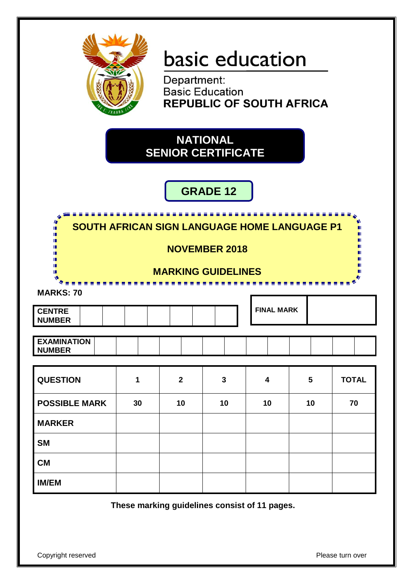

# basic education

Department: **Basic Education REPUBLIC OF SOUTH AFRICA** 

# **NATIONAL SENIOR CERTIFICATE**

# **GRADE 12**

| titit.<br>ٰ<br>18                   |                                                     |                         |                         |                         |    |              |  |  |  |  |  |  |
|-------------------------------------|-----------------------------------------------------|-------------------------|-------------------------|-------------------------|----|--------------|--|--|--|--|--|--|
| ш<br>Ш                              | <b>SOUTH AFRICAN SIGN LANGUAGE HOME LANGUAGE P1</b> |                         |                         |                         |    |              |  |  |  |  |  |  |
|                                     | <b>NOVEMBER 2018</b>                                |                         |                         |                         |    |              |  |  |  |  |  |  |
| п<br><b>MARKING GUIDELINES</b><br>嚧 |                                                     |                         |                         |                         |    |              |  |  |  |  |  |  |
| <b>MARKS: 70</b>                    |                                                     |                         |                         |                         |    |              |  |  |  |  |  |  |
| <b>CENTRE</b><br><b>NUMBER</b>      | <b>FINAL MARK</b>                                   |                         |                         |                         |    |              |  |  |  |  |  |  |
|                                     |                                                     |                         |                         |                         |    |              |  |  |  |  |  |  |
| <b>EXAMINATION</b><br><b>NUMBER</b> |                                                     |                         |                         |                         |    |              |  |  |  |  |  |  |
|                                     |                                                     |                         |                         |                         |    |              |  |  |  |  |  |  |
| <b>QUESTION</b>                     | 1                                                   | $\overline{\mathbf{2}}$ | $\overline{\mathbf{3}}$ | $\overline{\mathbf{4}}$ | 5  | <b>TOTAL</b> |  |  |  |  |  |  |
| <b>POSSIBLE MARK</b>                | 30                                                  | 10                      | 10                      | 10                      | 10 | 70           |  |  |  |  |  |  |
| <b>MARKER</b>                       |                                                     |                         |                         |                         |    |              |  |  |  |  |  |  |
| <b>SM</b>                           |                                                     |                         |                         |                         |    |              |  |  |  |  |  |  |
| <b>CM</b>                           |                                                     |                         |                         |                         |    |              |  |  |  |  |  |  |
| <b>IM/EM</b>                        |                                                     |                         |                         |                         |    |              |  |  |  |  |  |  |

**These marking guidelines consist of 11 pages.**

Copyright reserved **Please** turn over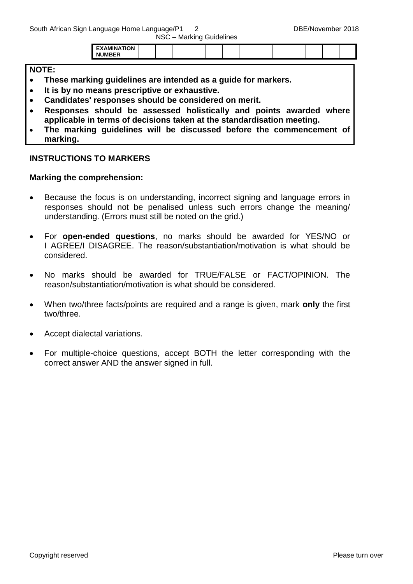South African Sign Language Home Language/P1 2 DBE/November 2018

| NSC - Marking Guidelines |  |
|--------------------------|--|
|--------------------------|--|

| חו<br>n |  |  |  |  |  |  |  |  |
|---------|--|--|--|--|--|--|--|--|
|         |  |  |  |  |  |  |  |  |
|         |  |  |  |  |  |  |  |  |

#### **NOTE:**

- **These marking guidelines are intended as a guide for markers.**
- **It is by no means prescriptive or exhaustive.**
- **Candidates' responses should be considered on merit.**
- **Responses should be assessed holistically and points awarded where applicable in terms of decisions taken at the standardisation meeting.**
- **The marking guidelines will be discussed before the commencement of marking.**

#### **INSTRUCTIONS TO MARKERS**

#### **Marking the comprehension:**

- Because the focus is on understanding, incorrect signing and language errors in responses should not be penalised unless such errors change the meaning/ understanding. (Errors must still be noted on the grid.)
- For **open-ended questions**, no marks should be awarded for YES/NO or I AGREE/I DISAGREE. The reason/substantiation/motivation is what should be considered.
- No marks should be awarded for TRUE/FALSE or FACT/OPINION. The reason/substantiation/motivation is what should be considered.
- When two/three facts/points are required and a range is given, mark **only** the first two/three.
- Accept dialectal variations.
- For multiple-choice questions, accept BOTH the letter corresponding with the correct answer AND the answer signed in full.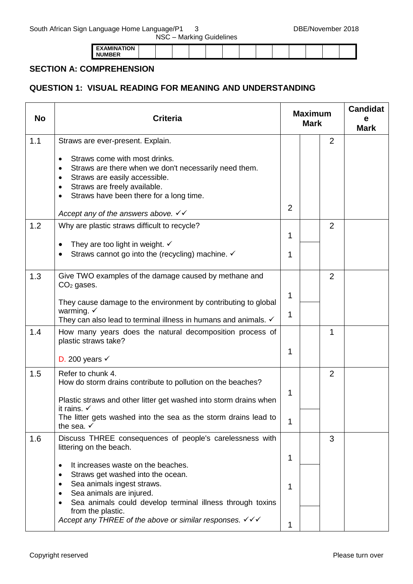| NSC - Marking Guidelines |  |
|--------------------------|--|
|--------------------------|--|

| ----<br>אנ    |  |  |  |  |  |  |  |
|---------------|--|--|--|--|--|--|--|
| <b>NUMBER</b> |  |  |  |  |  |  |  |

#### **SECTION A: COMPREHENSION**

## **QUESTION 1: VISUAL READING FOR MEANING AND UNDERSTANDING**

| <b>No</b> | <b>Criteria</b>                                                                                                                                                                                                                                                                                                                |                | <b>Maximum</b><br><b>Mark</b> |                | <b>Candidat</b><br>е<br><b>Mark</b> |
|-----------|--------------------------------------------------------------------------------------------------------------------------------------------------------------------------------------------------------------------------------------------------------------------------------------------------------------------------------|----------------|-------------------------------|----------------|-------------------------------------|
| 1.1       | Straws are ever-present. Explain.                                                                                                                                                                                                                                                                                              |                |                               | $\overline{2}$ |                                     |
|           | Straws come with most drinks.<br>$\bullet$<br>Straws are there when we don't necessarily need them.<br>$\bullet$<br>Straws are easily accessible.<br>$\bullet$<br>Straws are freely available.<br>$\bullet$<br>Straws have been there for a long time.<br>$\bullet$<br>Accept any of the answers above. $\checkmark\checkmark$ | $\overline{2}$ |                               |                |                                     |
| 1.2       | Why are plastic straws difficult to recycle?                                                                                                                                                                                                                                                                                   |                |                               | $\overline{2}$ |                                     |
|           | They are too light in weight. $\checkmark$                                                                                                                                                                                                                                                                                     | 1              |                               |                |                                     |
|           | Straws cannot go into the (recycling) machine. ✓                                                                                                                                                                                                                                                                               | 1              |                               |                |                                     |
| 1.3       | Give TWO examples of the damage caused by methane and<br>$CO2$ gases.                                                                                                                                                                                                                                                          |                |                               | 2              |                                     |
|           |                                                                                                                                                                                                                                                                                                                                | 1              |                               |                |                                     |
|           | They cause damage to the environment by contributing to global<br>warming. $\checkmark$<br>They can also lead to terminal illness in humans and animals. √                                                                                                                                                                     | 1              |                               |                |                                     |
| 1.4       | How many years does the natural decomposition process of<br>plastic straws take?                                                                                                                                                                                                                                               |                |                               | $\mathbf 1$    |                                     |
|           | D. 200 years $\checkmark$                                                                                                                                                                                                                                                                                                      | 1              |                               |                |                                     |
| 1.5       | Refer to chunk 4.<br>How do storm drains contribute to pollution on the beaches?                                                                                                                                                                                                                                               |                |                               | $\overline{2}$ |                                     |
|           | Plastic straws and other litter get washed into storm drains when<br>it rains. $\checkmark$                                                                                                                                                                                                                                    | 1              |                               |                |                                     |
|           | The litter gets washed into the sea as the storm drains lead to<br>the sea. $\checkmark$                                                                                                                                                                                                                                       | 1              |                               |                |                                     |
| 1.6       | Discuss THREE consequences of people's carelessness with<br>littering on the beach.                                                                                                                                                                                                                                            |                |                               | 3              |                                     |
|           | It increases waste on the beaches.<br>٠                                                                                                                                                                                                                                                                                        | 1              |                               |                |                                     |
|           | Straws get washed into the ocean.<br>$\bullet$<br>Sea animals ingest straws.<br>$\bullet$<br>Sea animals are injured.<br>Sea animals could develop terminal illness through toxins                                                                                                                                             | 1              |                               |                |                                     |
|           | from the plastic.<br>Accept any THREE of the above or similar responses. $\checkmark\checkmark$                                                                                                                                                                                                                                | 1              |                               |                |                                     |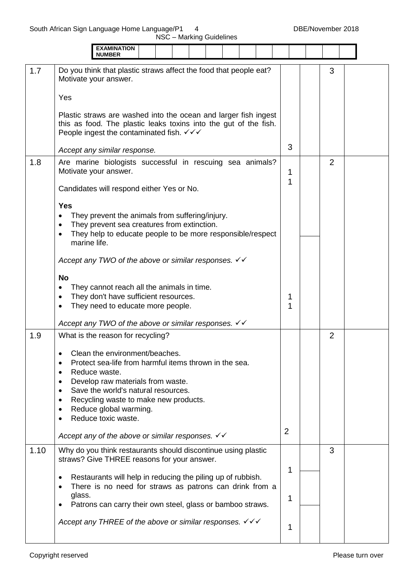|      | <b>EXAMINATION</b><br><b>NUMBER</b>                                                                                                                                                                                                                                                                                             |                  |                |  |
|------|---------------------------------------------------------------------------------------------------------------------------------------------------------------------------------------------------------------------------------------------------------------------------------------------------------------------------------|------------------|----------------|--|
| 1.7  | Do you think that plastic straws affect the food that people eat?<br>Motivate your answer.                                                                                                                                                                                                                                      |                  | 3              |  |
|      | Yes                                                                                                                                                                                                                                                                                                                             |                  |                |  |
|      | Plastic straws are washed into the ocean and larger fish ingest<br>this as food. The plastic leaks toxins into the gut of the fish.<br>People ingest the contaminated fish. $\checkmark\checkmark$                                                                                                                              |                  |                |  |
|      | Accept any similar response.                                                                                                                                                                                                                                                                                                    | 3                |                |  |
| 1.8  | Are marine biologists successful in rescuing sea animals?<br>Motivate your answer.<br>Candidates will respond either Yes or No.                                                                                                                                                                                                 | 1<br>1           | 2              |  |
|      | <b>Yes</b><br>They prevent the animals from suffering/injury.<br>They prevent sea creatures from extinction.<br>٠<br>They help to educate people to be more responsible/respect<br>$\bullet$                                                                                                                                    |                  |                |  |
|      | marine life.                                                                                                                                                                                                                                                                                                                    |                  |                |  |
|      | Accept any TWO of the above or similar responses. $\checkmark\checkmark$                                                                                                                                                                                                                                                        |                  |                |  |
|      | <b>No</b><br>They cannot reach all the animals in time.<br>They don't have sufficient resources.<br>They need to educate more people.                                                                                                                                                                                           | 1<br>$\mathbf 1$ |                |  |
|      | Accept any TWO of the above or similar responses. $∨$                                                                                                                                                                                                                                                                           |                  |                |  |
| 1.9  | What is the reason for recycling?                                                                                                                                                                                                                                                                                               |                  | $\overline{2}$ |  |
|      | Clean the environment/beaches<br>Protect sea-life from harmful items thrown in the sea.<br>Reduce waste.<br>$\bullet$<br>Develop raw materials from waste.<br>$\bullet$<br>Save the world's natural resources.<br>$\bullet$<br>Recycling waste to make new products.<br>٠<br>Reduce global warming.<br>٠<br>Reduce toxic waste. |                  |                |  |
|      | Accept any of the above or similar responses. $\checkmark \checkmark$                                                                                                                                                                                                                                                           | 2                |                |  |
| 1.10 | Why do you think restaurants should discontinue using plastic<br>straws? Give THREE reasons for your answer.<br>Restaurants will help in reducing the piling up of rubbish.<br>$\bullet$<br>There is no need for straws as patrons can drink from a<br>$\bullet$                                                                | 1                | 3              |  |
|      | glass.<br>Patrons can carry their own steel, glass or bamboo straws.                                                                                                                                                                                                                                                            | 1                |                |  |
|      | Accept any THREE of the above or similar responses. $\checkmark\checkmark$                                                                                                                                                                                                                                                      | 1                |                |  |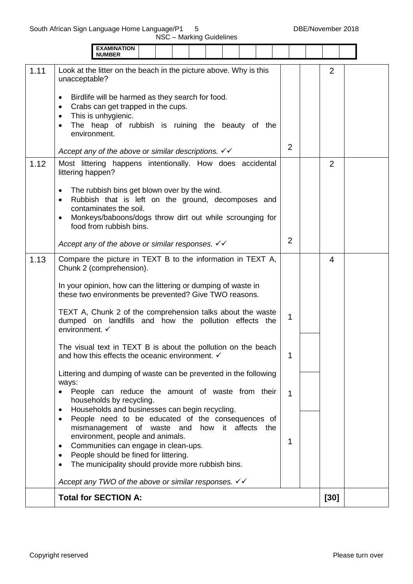|      | <b>EXAMINATION</b><br><b>NUMBER</b>                                                                                                                                                                                                                                                                        |                |                |  |
|------|------------------------------------------------------------------------------------------------------------------------------------------------------------------------------------------------------------------------------------------------------------------------------------------------------------|----------------|----------------|--|
| 1.11 | Look at the litter on the beach in the picture above. Why is this<br>unacceptable?                                                                                                                                                                                                                         |                | $\overline{2}$ |  |
|      | Birdlife will be harmed as they search for food.<br>Crabs can get trapped in the cups.<br>$\bullet$<br>This is unhygienic.<br>$\bullet$<br>The heap of rubbish is ruining the beauty of the<br>environment.                                                                                                |                |                |  |
|      | Accept any of the above or similar descriptions. $\checkmark\checkmark$                                                                                                                                                                                                                                    | $\overline{2}$ |                |  |
| 1.12 | Most littering happens intentionally. How does accidental<br>littering happen?                                                                                                                                                                                                                             |                | $\overline{2}$ |  |
|      | The rubbish bins get blown over by the wind.<br>$\bullet$<br>Rubbish that is left on the ground, decomposes and<br>contaminates the soil.<br>Monkeys/baboons/dogs throw dirt out while scrounging for<br>food from rubbish bins.                                                                           |                |                |  |
|      | Accept any of the above or similar responses. $\checkmark \checkmark$                                                                                                                                                                                                                                      | $\overline{2}$ |                |  |
| 1.13 | Compare the picture in TEXT B to the information in TEXT A,<br>Chunk 2 (comprehension).                                                                                                                                                                                                                    |                | 4              |  |
|      | In your opinion, how can the littering or dumping of waste in<br>these two environments be prevented? Give TWO reasons.                                                                                                                                                                                    |                |                |  |
|      | TEXT A, Chunk 2 of the comprehension talks about the waste<br>dumped on landfills and how the pollution effects the<br>environment. √                                                                                                                                                                      | 1              |                |  |
|      | The visual text in TEXT B is about the pollution on the beach<br>and how this effects the oceanic environment. $\checkmark$                                                                                                                                                                                | 1              |                |  |
|      | Littering and dumping of waste can be prevented in the following<br>ways:<br>People can reduce the amount of waste from their<br>households by recycling.<br>Households and businesses can begin recycling.<br>$\bullet$                                                                                   | 1              |                |  |
|      | People need to be educated of the consequences of<br>mismanagement of waste and<br>how it affects the<br>environment, people and animals.<br>Communities can engage in clean-ups.<br>$\bullet$<br>People should be fined for littering.<br>The municipality should provide more rubbish bins.<br>$\bullet$ | 1              |                |  |
|      | Accept any TWO of the above or similar responses. $\checkmark\checkmark$                                                                                                                                                                                                                                   |                |                |  |
|      | <b>Total for SECTION A:</b>                                                                                                                                                                                                                                                                                |                | $[30]$         |  |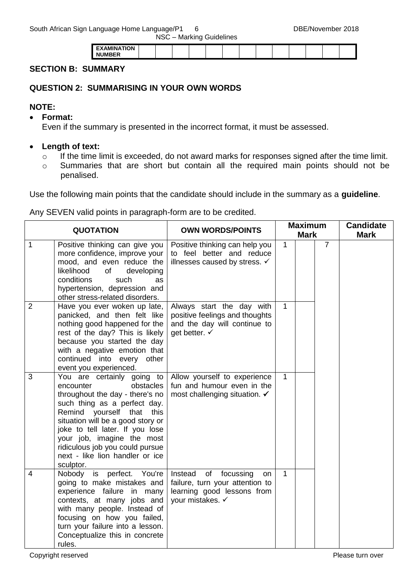| <b>EXAMINATION</b> |  |  |  |  |  |  |  |
|--------------------|--|--|--|--|--|--|--|
| <b>NIIMRER</b>     |  |  |  |  |  |  |  |
|                    |  |  |  |  |  |  |  |

#### **SECTION B: SUMMARY**

#### **QUESTION 2: SUMMARISING IN YOUR OWN WORDS**

#### **NOTE:**

**Format:**

Even if the summary is presented in the incorrect format, it must be assessed.

#### **Length of text:**

- o If the time limit is exceeded, do not award marks for responses signed after the time limit.
- o Summaries that are short but contain all the required main points should not be penalised.

Use the following main points that the candidate should include in the summary as a **guideline**.

Any SEVEN valid points in paragraph-form are to be credited.

|                | <b>QUOTATION</b>                                                                                                                                                                                                                                                                                                                              | <b>OWN WORDS/POINTS</b>                                                                                               |              | <b>Maximum</b> |                | <b>Candidate</b> |
|----------------|-----------------------------------------------------------------------------------------------------------------------------------------------------------------------------------------------------------------------------------------------------------------------------------------------------------------------------------------------|-----------------------------------------------------------------------------------------------------------------------|--------------|----------------|----------------|------------------|
|                |                                                                                                                                                                                                                                                                                                                                               |                                                                                                                       |              | <b>Mark</b>    |                | <b>Mark</b>      |
| 1              | Positive thinking can give you<br>more confidence, improve your<br>mood, and even reduce the<br>likelihood<br>of<br>developing<br>conditions<br>such<br>as<br>hypertension, depression and<br>other stress-related disorders.                                                                                                                 | Positive thinking can help you<br>to feel better and reduce<br>illnesses caused by stress. √                          | $\mathbf{1}$ |                | $\overline{7}$ |                  |
| $\overline{2}$ | Have you ever woken up late,<br>panicked, and then felt like<br>nothing good happened for the<br>rest of the day? This is likely<br>because you started the day<br>with a negative emotion that<br>continued into every<br>other<br>event you experienced.                                                                                    | Always start the day with<br>positive feelings and thoughts<br>and the day will continue to<br>get better. ✓          | $\mathbf{1}$ |                |                |                  |
| 3              | You are certainly going to<br>obstacles<br>encounter<br>throughout the day - there's no<br>such thing as a perfect day.<br>Remind yourself that this<br>situation will be a good story or<br>joke to tell later. If you lose<br>your job, imagine the most<br>ridiculous job you could pursue<br>next - like lion handler or ice<br>sculptor. | Allow yourself to experience<br>fun and humour even in the<br>most challenging situation. $\checkmark$                | $\mathbf{1}$ |                |                |                  |
| $\overline{4}$ | Nobody<br>perfect. You're<br>is<br>going to make mistakes and<br>experience failure in many<br>contexts, at many jobs and<br>with many people. Instead of<br>focusing on how you failed,<br>turn your failure into a lesson.<br>Conceptualize this in concrete<br>rules.                                                                      | Instead<br>of<br>focussing<br>on<br>failure, turn your attention to<br>learning good lessons from<br>your mistakes. ✓ | $\mathbf{1}$ |                |                |                  |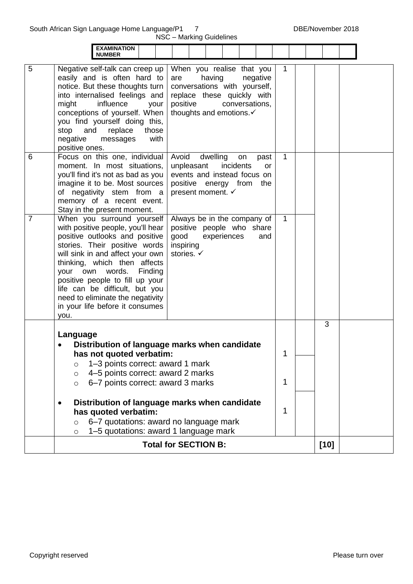South African Sign Language Home Language/P1 7 DBE/November 2018

|                |                                                                                                                                                                                                                                                                                                                                                                                       | NSC - Marking Guidelines                                                                                                                                                      |              |        |  |
|----------------|---------------------------------------------------------------------------------------------------------------------------------------------------------------------------------------------------------------------------------------------------------------------------------------------------------------------------------------------------------------------------------------|-------------------------------------------------------------------------------------------------------------------------------------------------------------------------------|--------------|--------|--|
|                | <b>EXAMINATION</b><br><b>NUMBER</b>                                                                                                                                                                                                                                                                                                                                                   |                                                                                                                                                                               |              |        |  |
| 5              | Negative self-talk can creep up<br>easily and is often hard to<br>notice. But these thoughts turn<br>into internalised feelings and<br>might<br>influence<br>your<br>conceptions of yourself. When<br>you find yourself doing this,<br>replace<br>stop<br>and<br>those<br>with<br>negative<br>messages<br>positive ones.                                                              | When you realise that you<br>having<br>negative<br>are<br>conversations with yourself,<br>replace these quickly with<br>positive<br>conversations,<br>thoughts and emotions.√ | 1            |        |  |
| 6              | Focus on this one, individual<br>moment. In most situations,<br>you'll find it's not as bad as you<br>imagine it to be. Most sources<br>of negativity stem from a<br>memory of a recent event.<br>Stay in the present moment.                                                                                                                                                         | Avoid<br>dwelling<br>on<br>past<br>unpleasant<br>incidents<br><b>or</b><br>events and instead focus on<br>positive energy from<br>the<br>present moment. ✓                    | 1            |        |  |
| $\overline{7}$ | When you surround yourself<br>with positive people, you'll hear<br>positive outlooks and positive<br>stories. Their positive words<br>will sink in and affect your own<br>thinking, which then affects<br>your own words. Finding<br>positive people to fill up your<br>life can be difficult, but you<br>need to eliminate the negativity<br>in your life before it consumes<br>you. | Always be in the company of<br>positive people who share<br>good<br>experiences<br>and<br>inspiring<br>stories. ✓                                                             | $\mathbf{1}$ |        |  |
|                | Language<br>has not quoted verbatim:                                                                                                                                                                                                                                                                                                                                                  | Distribution of language marks when candidate                                                                                                                                 | 1            | 3      |  |
|                | 1-3 points correct: award 1 mark<br>$\circ$<br>4-5 points correct: award 2 marks<br>$\circ$<br>6-7 points correct: award 3 marks<br>$\circ$                                                                                                                                                                                                                                           |                                                                                                                                                                               | 1            |        |  |
|                | $\bullet$<br>has quoted verbatim:<br>6-7 quotations: award no language mark<br>$\circ$<br>1-5 quotations: award 1 language mark<br>$\circ$                                                                                                                                                                                                                                            | Distribution of language marks when candidate                                                                                                                                 | 1            |        |  |
|                |                                                                                                                                                                                                                                                                                                                                                                                       | <b>Total for SECTION B:</b>                                                                                                                                                   |              | $[10]$ |  |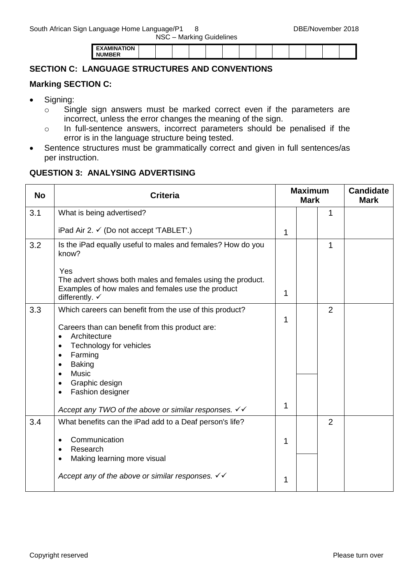|                    |  | __ |  |  |  |  |  |
|--------------------|--|----|--|--|--|--|--|
| <b>EXAMINATION</b> |  |    |  |  |  |  |  |
| <b>NUMBER</b>      |  |    |  |  |  |  |  |

### **SECTION C: LANGUAGE STRUCTURES AND CONVENTIONS**

#### **Marking SECTION C:**

- Signing:
	- o Single sign answers must be marked correct even if the parameters are incorrect, unless the error changes the meaning of the sign.
	- o In full-sentence answers, incorrect parameters should be penalised if the error is in the language structure being tested.
- Sentence structures must be grammatically correct and given in full sentences/as per instruction.

#### **QUESTION 3: ANALYSING ADVERTISING**

| <b>No</b> | <b>Criteria</b>                                                                                                                                                                                                                                                                                                            | <b>Maximum</b><br><b>Mark</b> |  | <b>Candidate</b><br><b>Mark</b> |  |
|-----------|----------------------------------------------------------------------------------------------------------------------------------------------------------------------------------------------------------------------------------------------------------------------------------------------------------------------------|-------------------------------|--|---------------------------------|--|
| 3.1       | What is being advertised?                                                                                                                                                                                                                                                                                                  |                               |  | $\mathbf{1}$                    |  |
|           | iPad Air 2. $\checkmark$ (Do not accept 'TABLET'.)                                                                                                                                                                                                                                                                         | 1                             |  |                                 |  |
| 3.2       | Is the iPad equally useful to males and females? How do you<br>know?                                                                                                                                                                                                                                                       |                               |  | 1                               |  |
|           | Yes<br>The advert shows both males and females using the product.<br>Examples of how males and females use the product<br>differently. $\checkmark$                                                                                                                                                                        | 1                             |  |                                 |  |
| 3.3       | Which careers can benefit from the use of this product?<br>Careers than can benefit from this product are:<br>Architecture<br>Technology for vehicles<br>Farming<br>$\bullet$<br><b>Baking</b><br><b>Music</b><br>Graphic design<br>Fashion designer<br>$\bullet$<br>Accept any TWO of the above or similar responses. $∨$ | 1<br>1                        |  | $\overline{2}$                  |  |
| 3.4       | What benefits can the iPad add to a Deaf person's life?<br>Communication<br>Research<br>Making learning more visual<br>$\bullet$                                                                                                                                                                                           | 1                             |  | $\overline{2}$                  |  |
|           | Accept any of the above or similar responses. $\checkmark \checkmark$                                                                                                                                                                                                                                                      | 1                             |  |                                 |  |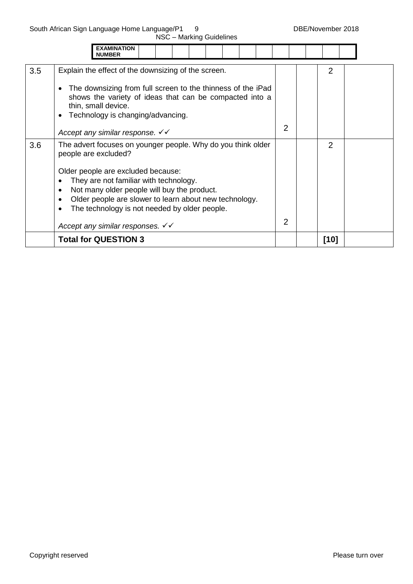NSC – Marking Guidelines

|     | <b>EXAMINATION</b><br><b>NUMBER</b>                                                                                                                                                                                                                                                                                                                                                                                           |                |      |  |
|-----|-------------------------------------------------------------------------------------------------------------------------------------------------------------------------------------------------------------------------------------------------------------------------------------------------------------------------------------------------------------------------------------------------------------------------------|----------------|------|--|
| 3.5 | Explain the effect of the downsizing of the screen.<br>The downsizing from full screen to the thinness of the iPad<br>$\bullet$<br>shows the variety of ideas that can be compacted into a<br>thin, small device.<br>Technology is changing/advancing.                                                                                                                                                                        |                | 2    |  |
|     | Accept any similar response. $\checkmark$                                                                                                                                                                                                                                                                                                                                                                                     | $\overline{2}$ |      |  |
| 3.6 | The advert focuses on younger people. Why do you think older<br>people are excluded?<br>Older people are excluded because:<br>They are not familiar with technology.<br>Not many older people will buy the product.<br>$\bullet$<br>Older people are slower to learn about new technology.<br>$\bullet$<br>The technology is not needed by older people.<br>$\bullet$<br>Accept any similar responses. $\checkmark\checkmark$ |                | 2    |  |
|     | <b>Total for QUESTION 3</b>                                                                                                                                                                                                                                                                                                                                                                                                   |                | [10] |  |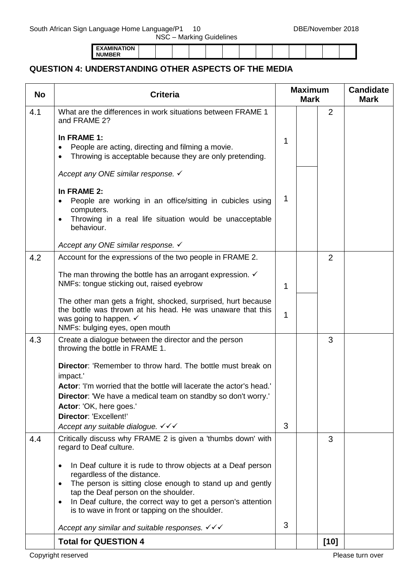South African Sign Language Home Language/P1 10 DBE/November 2018

2

**Candidate Mark**

**Mark**

NSC – Marking Guidelines

**EXAMINATION NUMBER**

and FRAME 2?

**QUESTION 4: UNDERSTANDING OTHER ASPECTS OF THE MEDIA**

4.1 What are the differences in work situations between FRAME 1

**No Criteria Maximum** 

|     | <b>Total for QUESTION 4</b>                                                                                                                                                                                                                                                                                                                                |   | $[10]$ |  |
|-----|------------------------------------------------------------------------------------------------------------------------------------------------------------------------------------------------------------------------------------------------------------------------------------------------------------------------------------------------------------|---|--------|--|
|     | Accept any similar and suitable responses. $\checkmark \checkmark$                                                                                                                                                                                                                                                                                         | 3 |        |  |
|     | In Deaf culture it is rude to throw objects at a Deaf person<br>$\bullet$<br>regardless of the distance.<br>The person is sitting close enough to stand up and gently<br>$\bullet$<br>tap the Deaf person on the shoulder.<br>In Deaf culture, the correct way to get a person's attention<br>$\bullet$<br>is to wave in front or tapping on the shoulder. |   |        |  |
| 4.4 | Critically discuss why FRAME 2 is given a 'thumbs down' with<br>regard to Deaf culture.                                                                                                                                                                                                                                                                    |   | 3      |  |
|     | impact.'<br>Actor: 'I'm worried that the bottle will lacerate the actor's head.'<br>Director: 'We have a medical team on standby so don't worry.'<br>Actor: 'OK, here goes.'<br>Director: 'Excellent!'<br>Accept any suitable dialogue. V V V                                                                                                              | 3 |        |  |
| 4.3 | Create a dialogue between the director and the person<br>throwing the bottle in FRAME 1.<br><b>Director:</b> 'Remember to throw hard. The bottle must break on                                                                                                                                                                                             |   | 3      |  |
|     | The other man gets a fright, shocked, surprised, hurt because<br>the bottle was thrown at his head. He was unaware that this<br>was going to happen. $\checkmark$<br>NMFs: bulging eyes, open mouth                                                                                                                                                        | 1 |        |  |
| 4.2 | Account for the expressions of the two people in FRAME 2.<br>The man throwing the bottle has an arrogant expression. $\checkmark$<br>NMFs: tongue sticking out, raised eyebrow                                                                                                                                                                             | 1 | 2      |  |
|     | computers.<br>Throwing in a real life situation would be unacceptable<br>$\bullet$<br>behaviour.<br>Accept any ONE similar response. ✓                                                                                                                                                                                                                     |   |        |  |
|     | Accept any ONE similar response. ✓<br>In FRAME 2:<br>People are working in an office/sitting in cubicles using                                                                                                                                                                                                                                             | 1 |        |  |
|     | In FRAME 1:<br>People are acting, directing and filming a movie.<br>Throwing is acceptable because they are only pretending.                                                                                                                                                                                                                               | 1 |        |  |